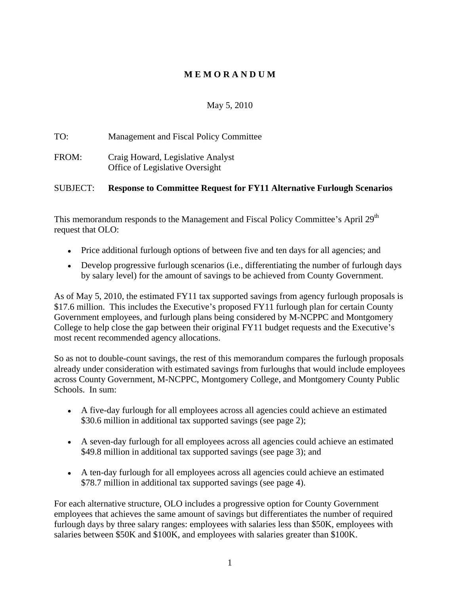# **M E M O R A N D U M**

### May 5, 2010

TO: Management and Fiscal Policy Committee FROM: Craig Howard, Legislative Analyst Office of Legislative Oversight

## SUBJECT: **Response to Committee Request for FY11 Alternative Furlough Scenarios**

This memorandum responds to the Management and Fiscal Policy Committee's April 29<sup>th</sup> the contract of the contract of the contract of the contract of the contract of the contract of the contract of the contract of the contract of the contract of the contract of the contract of the contract of the contract o request that OLO:

- Price additional furlough options of between five and ten days for all agencies; and
- Develop progressive furlough scenarios (i.e., differentiating the number of furlough days by salary level) for the amount of savings to be achieved from County Government.

As of May 5, 2010, the estimated FY11 tax supported savings from agency furlough proposals is \$17.6 million. This includes the Executive's proposed FY11 furlough plan for certain County Government employees, and furlough plans being considered by M-NCPPC and Montgomery College to help close the gap between their original FY11 budget requests and the Executive's most recent recommended agency allocations.

So as not to double-count savings, the rest of this memorandum compares the furlough proposals already under consideration with estimated savings from furloughs that would include employees across County Government, M-NCPPC, Montgomery College, and Montgomery County Public Schools. In sum:

- A five-day furlough for all employees across all agencies could achieve an estimated \$30.6 million in additional tax supported savings (see page 2);
- A seven-day furlough for all employees across all agencies could achieve an estimated \$49.8 million in additional tax supported savings (see page 3); and
- A ten-day furlough for all employees across all agencies could achieve an estimated \$78.7 million in additional tax supported savings (see page 4).

For each alternative structure, OLO includes a progressive option for County Government employees that achieves the same amount of savings but differentiates the number of required furlough days by three salary ranges: employees with salaries less than \$50K, employees with salaries between \$50K and \$100K, and employees with salaries greater than \$100K.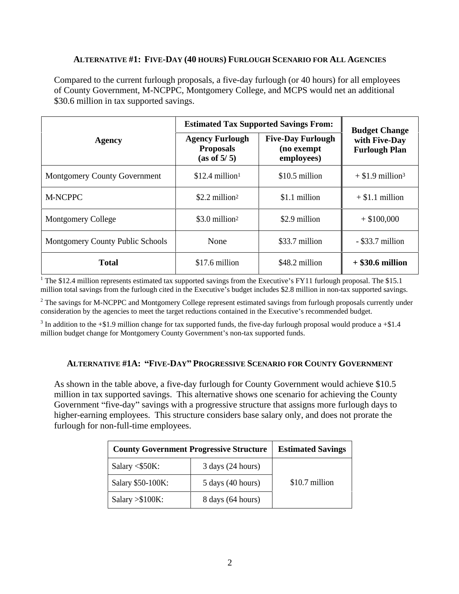### **ALTERNATIVE #1: FIVE-DAY (40 HOURS) FURLOUGH SCENARIO FOR ALL AGENCIES**

Compared to the current furlough proposals, a five-day furlough (or 40 hours) for all employees of County Government, M-NCPPC, Montgomery College, and MCPS would net an additional \$30.6 million in tax supported savings.

| Agency                           | <b>Estimated Tax Supported Savings From:</b>              |                                                      | <b>Budget Change</b>                  |
|----------------------------------|-----------------------------------------------------------|------------------------------------------------------|---------------------------------------|
|                                  | <b>Agency Furlough</b><br><b>Proposals</b><br>(as of 5/5) | <b>Five-Day Furlough</b><br>(no exempt<br>employees) | with Five-Day<br><b>Furlough Plan</b> |
| Montgomery County Government     | $$12.4$ million <sup>1</sup>                              | $$10.5$ million                                      | $+$ \$1.9 million <sup>3</sup>        |
| M-NCPPC                          | $$2.2$ million <sup>2</sup>                               | $$1.1$ million                                       | $+$ \$1.1 million                     |
| Montgomery College               | $$3.0$ million <sup>2</sup>                               | \$2.9 million                                        | $+$ \$100,000                         |
| Montgomery County Public Schools | None                                                      | \$33.7 million                                       | $-$ \$33.7 million                    |
| <b>Total</b>                     | \$17.6 million                                            | \$48.2 million                                       | $+$ \$30.6 million                    |

<sup>1</sup> The \$12.4 million represents estimated tax supported savings from the Executive's FY11 furlough proposal. The \$15.1 million total savings from the furlough cited in the Executive's budget includes \$2.8 million in non-tax supported savings.

 $2$  The savings for M-NCPPC and Montgomery College represent estimated savings from furlough proposals currently under consideration by the agencies to meet the target reductions contained in the Executive's recommended budget.

 $3$  In addition to the +\$1.9 million change for tax supported funds, the five-day furlough proposal would produce a +\$1.4 million budget change for Montgomery County Government's non-tax supported funds.

### **ALTERNATIVE #1A: FIVE-DAY PROGRESSIVE SCENARIO FOR COUNTY GOVERNMENT**

As shown in the table above, a five-day furlough for County Government would achieve \$10.5 million in tax supported savings. This alternative shows one scenario for achieving the County Government "five-day" savings with a progressive structure that assigns more furlough days to higher-earning employees. This structure considers base salary only, and does not prorate the furlough for non-full-time employees.

| <b>County Government Progressive Structure</b> |                             | <b>Estimated Savings</b> |
|------------------------------------------------|-----------------------------|--------------------------|
| Salary $<$ \$50K:                              | $3 \text{ days}$ (24 hours) |                          |
| Salary \$50-100K:                              | 5 days (40 hours)           | \$10.7 million           |
| Salary $> $100K$ :                             | 8 days (64 hours)           |                          |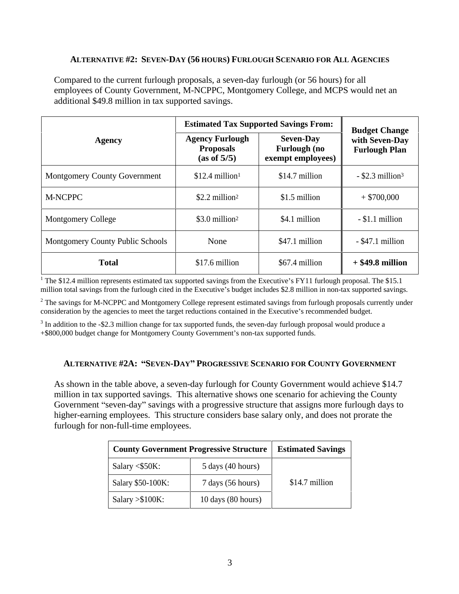#### **ALTERNATIVE #2: SEVEN-DAY (56 HOURS) FURLOUGH SCENARIO FOR ALL AGENCIES**

Compared to the current furlough proposals, a seven-day furlough (or 56 hours) for all employees of County Government, M-NCPPC, Montgomery College, and MCPS would net an additional \$49.8 million in tax supported savings.

| <b>Agency</b>                    | <b>Estimated Tax Supported Savings From:</b>              |                                                              | <b>Budget Change</b>                   |
|----------------------------------|-----------------------------------------------------------|--------------------------------------------------------------|----------------------------------------|
|                                  | <b>Agency Furlough</b><br><b>Proposals</b><br>(as of 5/5) | <b>Seven-Day</b><br><b>Furlough (no</b><br>exempt employees) | with Seven-Day<br><b>Furlough Plan</b> |
| Montgomery County Government     | $$12.4$ million <sup>1</sup>                              | $$14.7$ million                                              | $-$ \$2.3 million <sup>3</sup>         |
| M-NCPPC                          | \$2.2 million <sup>2</sup>                                | $$1.5$ million                                               | $+$ \$700,000                          |
| Montgomery College               | $$3.0$ million <sup>2</sup>                               | \$4.1 million                                                | $-$ \$1.1 million                      |
| Montgomery County Public Schools | None                                                      | \$47.1 million                                               | $-$ \$47.1 million                     |
| <b>Total</b>                     | \$17.6 million                                            | \$67.4 million                                               | $+$ \$49.8 million                     |

<sup>1</sup> The \$12.4 million represents estimated tax supported savings from the Executive's FY11 furlough proposal. The \$15.1 million total savings from the furlough cited in the Executive's budget includes \$2.8 million in non-tax supported savings.

 $2$  The savings for M-NCPPC and Montgomery College represent estimated savings from furlough proposals currently under consideration by the agencies to meet the target reductions contained in the Executive's recommended budget.

 $3$  In addition to the -\$2.3 million change for tax supported funds, the seven-day furlough proposal would produce a +\$800,000 budget change for Montgomery County Government's non-tax supported funds.

#### **ALTERNATIVE #2A: "SEVEN-DAY" PROGRESSIVE SCENARIO FOR COUNTY GOVERNMENT**

As shown in the table above, a seven-day furlough for County Government would achieve \$14.7 million in tax supported savings. This alternative shows one scenario for achieving the County Government "seven-day" savings with a progressive structure that assigns more furlough days to higher-earning employees. This structure considers base salary only, and does not prorate the furlough for non-full-time employees.

|                    | <b>County Government Progressive Structure</b> | <b>Estimated Savings</b> |
|--------------------|------------------------------------------------|--------------------------|
| Salary $<$ \$50K:  | $5$ days (40 hours)                            |                          |
| Salary \$50-100K:  | 7 days (56 hours)                              | $$14.7$ million          |
| $Salary > $100K$ : | $10 \text{ days}$ (80 hours)                   |                          |